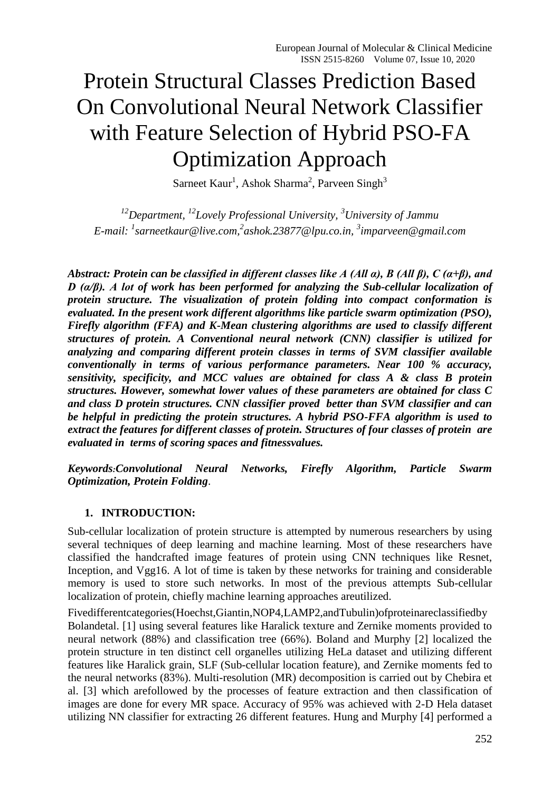# Protein Structural Classes Prediction Based On Convolutional Neural Network Classifier with Feature Selection of Hybrid PSO-FA Optimization Approach

Sarneet Kaur<sup>1</sup>, Ashok Sharma<sup>2</sup>, Parveen Singh<sup>3</sup>

*<sup>12</sup>Department, <sup>12</sup>Lovely Professional University, <sup>3</sup>University of Jammu E-mail: <sup>1</sup> [sarneetkaur@live.com,](mailto:sarneetkaur@live.com) 2 [ashok.23877@lpu.co.in,](mailto:ashok.23877@lpu.co.in) 3 [imparveen@gmail.com](mailto:imparveen@gmail.com)*

*Abstract: Protein can be classified in different classes like A (All α), B (All β), C (α+β), and D (α/β). A lot of work has been performed for analyzing the Sub-cellular localization of protein structure. The visualization of protein folding into compact conformation is evaluated. In the present work different algorithms like particle swarm optimization (PSO), Firefly algorithm (FFA) and K-Mean clustering algorithms are used to classify different structures of protein. A Conventional neural network (CNN) classifier is utilized for analyzing and comparing different protein classes in terms of SVM classifier available conventionally in terms of various performance parameters. Near 100 % accuracy, sensitivity, specificity, and MCC values are obtained for class A & class B protein structures. However, somewhat lower values of these parameters are obtained for class C and class D protein structures. CNN classifier proved better than SVM classifier and can be helpful in predicting the protein structures. A hybrid PSO-FFA algorithm is used to extract the features for different classes of protein. Structures of four classes of protein are evaluated in terms of scoring spaces and fitnessvalues.*

*Keywords:Convolutional Neural Networks, Firefly Algorithm, Particle Swarm Optimization, Protein Folding*.

# **1. INTRODUCTION:**

Sub-cellular localization of protein structure is attempted by numerous researchers by using several techniques of deep learning and machine learning. Most of these researchers have classified the handcrafted image features of protein using CNN techniques like Resnet, Inception, and Vgg16. A lot of time is taken by these networks for training and considerable memory is used to store such networks. In most of the previous attempts Sub-cellular localization of protein, chiefly machine learning approaches areutilized.

Fivedifferentcategories(Hoechst,Giantin,NOP4,LAMP2,andTubulin)ofproteinareclassifiedby Bolandetal. [1] using several features like Haralick texture and Zernike moments provided to neural network (88%) and classification tree (66%). Boland and Murphy [2] localized the protein structure in ten distinct cell organelles utilizing HeLa dataset and utilizing different features like Haralick grain, SLF (Sub-cellular location feature), and Zernike moments fed to the neural networks (83%). Multi-resolution (MR) decomposition is carried out by Chebira et al. [3] which arefollowed by the processes of feature extraction and then classification of images are done for every MR space. Accuracy of 95% was achieved with 2-D Hela dataset utilizing NN classifier for extracting 26 different features. Hung and Murphy [4] performed a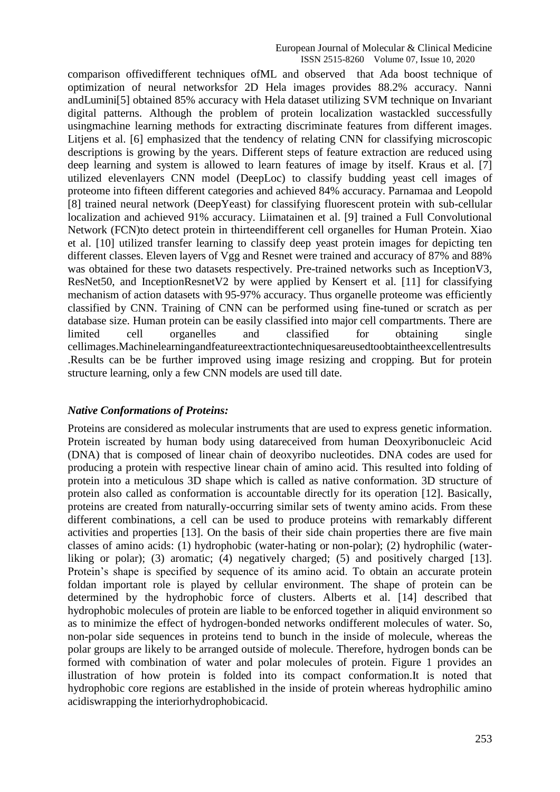European Journal of Molecular & Clinical Medicine ISSN 2515-8260 Volume 07, Issue 10, 2020

comparison offivedifferent techniques ofML and observed that Ada boost technique of optimization of neural networksfor 2D Hela images provides 88.2% accuracy. Nanni andLumini[5] obtained 85% accuracy with Hela dataset utilizing SVM technique on Invariant digital patterns. Although the problem of protein localization wastackled successfully usingmachine learning methods for extracting discriminate features from different images. Litjens et al. [6] emphasized that the tendency of relating CNN for classifying microscopic descriptions is growing by the years. Different steps of feature extraction are reduced using deep learning and system is allowed to learn features of image by itself. Kraus et al. [7] utilized elevenlayers CNN model (DeepLoc) to classify budding yeast cell images of proteome into fifteen different categories and achieved 84% accuracy. Parnamaa and Leopold [8] trained neural network (DeepYeast) for classifying fluorescent protein with sub-cellular localization and achieved 91% accuracy. Liimatainen et al. [9] trained a Full Convolutional Network (FCN)to detect protein in thirteendifferent cell organelles for Human Protein. Xiao et al. [10] utilized transfer learning to classify deep yeast protein images for depicting ten different classes. Eleven layers of Vgg and Resnet were trained and accuracy of 87% and 88% was obtained for these two datasets respectively. Pre-trained networks such as InceptionV3, ResNet50, and InceptionResnetV2 by were applied by Kensert et al. [11] for classifying mechanism of action datasets with 95-97% accuracy. Thus organelle proteome was efficiently classified by CNN. Training of CNN can be performed using fine-tuned or scratch as per database size. Human protein can be easily classified into major cell compartments. There are limited cell organelles and classified for obtaining single cellimages.Machinelearningandfeatureextractiontechniquesareusedtoobtaintheexcellentresults .Results can be be further improved using image resizing and cropping. But for protein structure learning, only a few CNN models are used till date.

#### *Native Conformations of Proteins:*

Proteins are considered as molecular instruments that are used to express genetic information. Protein iscreated by human body using datareceived from human Deoxyribonucleic Acid (DNA) that is composed of linear chain of deoxyribo nucleotides. DNA codes are used for producing a protein with respective linear chain of amino acid. This resulted into folding of protein into a meticulous 3D shape which is called as native conformation. 3D structure of protein also called as conformation is accountable directly for its operation [12]. Basically, proteins are created from naturally-occurring similar sets of twenty amino acids. From these different combinations, a cell can be used to produce proteins with remarkably different activities and properties [13]. On the basis of their side chain properties there are five main classes of amino acids: (1) hydrophobic (water-hating or non-polar); (2) hydrophilic (waterliking or polar); (3) aromatic; (4) negatively charged; (5) and positively charged [13]. Protein's shape is specified by sequence of its amino acid. To obtain an accurate protein foldan important role is played by cellular environment. The shape of protein can be determined by the hydrophobic force of clusters. Alberts et al. [14] described that hydrophobic molecules of protein are liable to be enforced together in aliquid environment so as to minimize the effect of hydrogen-bonded networks ondifferent molecules of water. So, non-polar side sequences in proteins tend to bunch in the inside of molecule, whereas the polar groups are likely to be arranged outside of molecule. Therefore, hydrogen bonds can be formed with combination of water and polar molecules of protein. Figure 1 provides an illustration of how protein is folded into its compact conformation.It is noted that hydrophobic core regions are established in the inside of protein whereas hydrophilic amino acidiswrapping the interiorhydrophobicacid.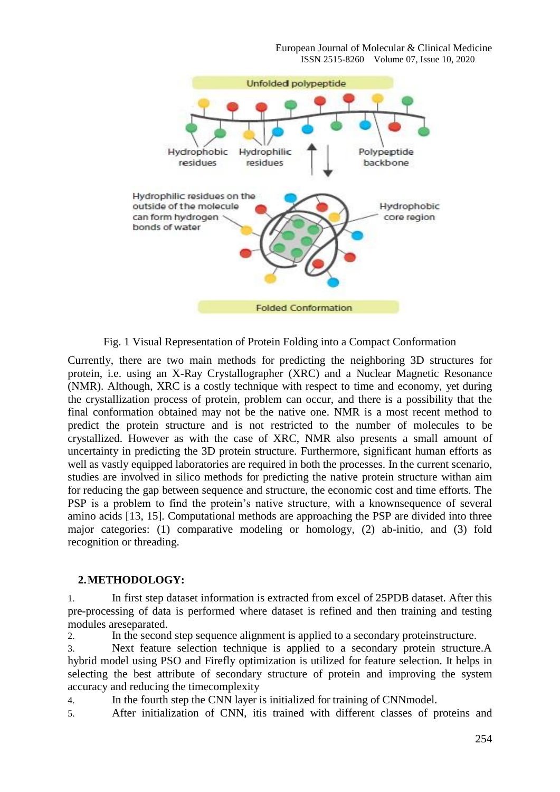

Fig. 1 Visual Representation of Protein Folding into a Compact Conformation

Currently, there are two main methods for predicting the neighboring 3D structures for protein, i.e. using an X-Ray Crystallographer (XRC) and a Nuclear Magnetic Resonance (NMR). Although, XRC is a costly technique with respect to time and economy, yet during the crystallization process of protein, problem can occur, and there is a possibility that the final conformation obtained may not be the native one. NMR is a most recent method to predict the protein structure and is not restricted to the number of molecules to be crystallized. However as with the case of XRC, NMR also presents a small amount of uncertainty in predicting the 3D protein structure. Furthermore, significant human efforts as well as vastly equipped laboratories are required in both the processes. In the current scenario, studies are involved in silico methods for predicting the native protein structure withan aim for reducing the gap between sequence and structure, the economic cost and time efforts. The PSP is a problem to find the protein's native structure, with a knownsequence of several amino acids [13, 15]. Computational methods are approaching the PSP are divided into three major categories: (1) comparative modeling or homology, (2) ab-initio, and (3) fold recognition or threading.

#### **2.METHODOLOGY:**

1. In first step dataset information is extracted from excel of 25PDB dataset. After this pre-processing of data is performed where dataset is refined and then training and testing modules areseparated.

2. In the second step sequence alignment is applied to a secondary proteinstructure.

3. Next feature selection technique is applied to a secondary protein structure.A hybrid model using PSO and Firefly optimization is utilized for feature selection. It helps in selecting the best attribute of secondary structure of protein and improving the system accuracy and reducing the timecomplexity

4. In the fourth step the CNN layer is initialized for training of CNNmodel.

5. After initialization of CNN, itis trained with different classes of proteins and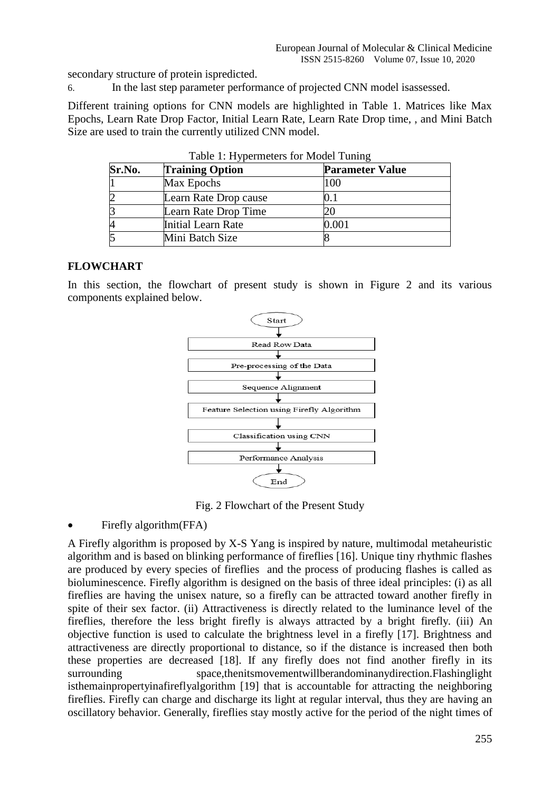secondary structure of protein ispredicted.

6. In the last step parameter performance of projected CNN model isassessed.

Different training options for CNN models are highlighted in Table 1. Matrices like Max Epochs, Learn Rate Drop Factor, Initial Learn Rate, Learn Rate Drop time, , and Mini Batch Size are used to train the currently utilized CNN model.

| Sr.No.         | <b>Training Option</b> | <b>Parameter Value</b> |
|----------------|------------------------|------------------------|
|                | Max Epochs             | 100                    |
| $\overline{2}$ | Learn Rate Drop cause  |                        |
| B              | Learn Rate Drop Time   |                        |
| 4              | Initial Learn Rate     | 0.001                  |
| 5              | Mini Batch Size        |                        |

|  |  |  | Table 1: Hypermeters for Model Tuning |  |  |  |
|--|--|--|---------------------------------------|--|--|--|
|--|--|--|---------------------------------------|--|--|--|

## **FLOWCHART**

In this section, the flowchart of present study is shown in Figure 2 and its various components explained below.



Fig. 2 Flowchart of the Present Study

Firefly algorithm(FFA)

A [Firefly algorithm i](https://www.sciencedirect.com/topics/engineering/firefly-algorithm)s proposed by X-S Yang is inspired by nature, multimodal [metaheuristic](https://www.sciencedirect.com/topics/computer-science/metaheuristic-algorithm)  [algorithm a](https://www.sciencedirect.com/topics/computer-science/metaheuristic-algorithm)nd is based on blinking performance of fireflies [16]. Unique tiny rhythmic flashes are produced by every species of fireflies and the process of producing flashes is called as [bioluminescence. F](https://www.sciencedirect.com/topics/materials-science/bioluminescence)irefly algorithm is designed on the basis of three ideal principles: (i) as all fireflies are having the unisex nature, so a firefly can be attracted toward another firefly in spite of their sex factor. (ii) [Attractiveness i](https://www.sciencedirect.com/topics/engineering/attractiveness)s directly related to the luminance level of the fireflies, therefore the less bright firefly is always attracted by a bright firefly. (iii) An objective function is used to calculate the brightness level in a firefly [17]. Brightness and attractiveness are directly proportional to distance, so if the distance is increased then both these properties are decreased [\[18\]. I](https://www.sciencedirect.com/science/article/pii/S2215098615001007#bib0295)f any firefly does not find another firefly in its surrounding space,thenitsmovementwillberandominanydirection.Flashinglight isthemainpropertyinafireflyalgorithm [\[19\]](https://www.sciencedirect.com/science/article/pii/S2215098615001007#bib0320) that is accountable for attracting the neighboring fireflies. Firefly can charge and discharge its light at regular interval, thus they are having an oscillatory behavior. Generally, fireflies stay mostly active for the period of the night times of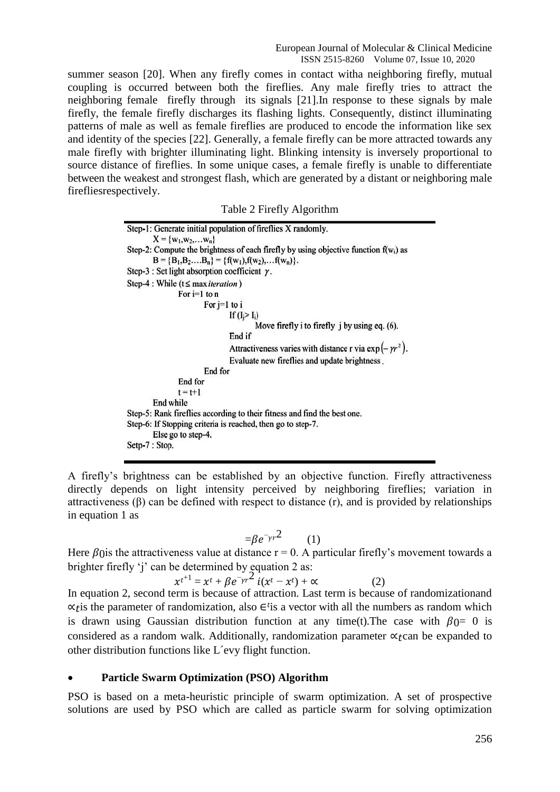summer season [\[20\]. W](https://www.sciencedirect.com/science/article/pii/S2215098615001007#bib0325)hen any firefly comes in contact witha neighboring firefly, mutual coupling is occurred between both the fireflies. Any male firefly tries to attract the neighboring female firefly through its signals [\[21\].I](https://www.sciencedirect.com/science/article/pii/S2215098615001007#bib0340)n response to these signals by male firefly, the female firefly discharges its flashing lights. Consequently, distinct illuminating patterns of male as well as female fireflies are produced to encode the information like sex and identity of the species [\[22\]. G](https://www.sciencedirect.com/science/article/pii/S2215098615001007#bib0350)enerally, a female firefly can be more attracted towards any male firefly with brighter illuminating light. Blinking intensity is inversely proportional to source distance of fireflies. In some unique cases, a female firefly is unable to differentiate between the weakest and strongest flash, which are generated by a distant or neighboring male firefliesrespectively.

Table 2 Firefly Algorithm

Step-1: Generate initial population of fireflies X randomly.  $X = \{w_1, w_2, \ldots w_n\}$ Step-2: Compute the brightness of each firefly by using objective function  $f(w_i)$  as  $B = {B_1, B_2,...B_n} = {f(w_1), f(w_2),...f(w_n)}.$ Step-3 : Set light absorption coefficient  $\gamma$ . Step-4 : While ( $t \leq max iteration$ ) For  $i=1$  to  $n$ For  $j=1$  to  $i$ If  $(I_i > I_i)$ Move firefly i to firefly j by using eq. (6). End if Attractiveness varies with distance r via  $\exp(-\gamma r^2)$ . Evaluate new fireflies and update brightness. End for End for  $t = t+1$ End while Step-5: Rank fireflies according to their fitness and find the best one. Step-6: If Stopping criteria is reached, then go to step-7. Else go to step-4. Setp-7 : Stop.

A firefly's brightness can be established by an objective function. Firefly attractiveness directly depends on light intensity perceived by neighboring fireflies; variation in attractiveness  $(\beta)$  can be defined with respect to distance  $(r)$ , and is provided by relationships in equation 1 as

$$
=\beta e^{-\gamma r^2} \qquad (1)
$$

Here  $\beta$ () is the attractiveness value at distance r = 0. A particular firefly's movement towards a brighter firefly 'i' can be determined by equation 2 as:

$$
xt^{t+1} = xt + \beta e^{-\gamma r^2} \dot{i}(xt - xt) + \alpha \tag{2}
$$

In equation 2, second term is because of attraction. Last term is because of randomizationand  $\alpha$ tis the parameter of randomization, also ∈<sup>t</sup>is a vector with all the numbers as random which is drawn using Gaussian distribution function at any time(t). The case with  $\beta$  ()= 0 is considered as a random walk. Additionally, randomization parameter  $\alpha$ <sub>r</sub>can be expanded to other distribution functions like L´evy flight function.

### **Particle Swarm Optimization (PSO) Algorithm**

PSO is based on a meta-heuristic principle of swarm optimization. A set of prospective solutions are used by PSO which are called as particle swarm for solving optimization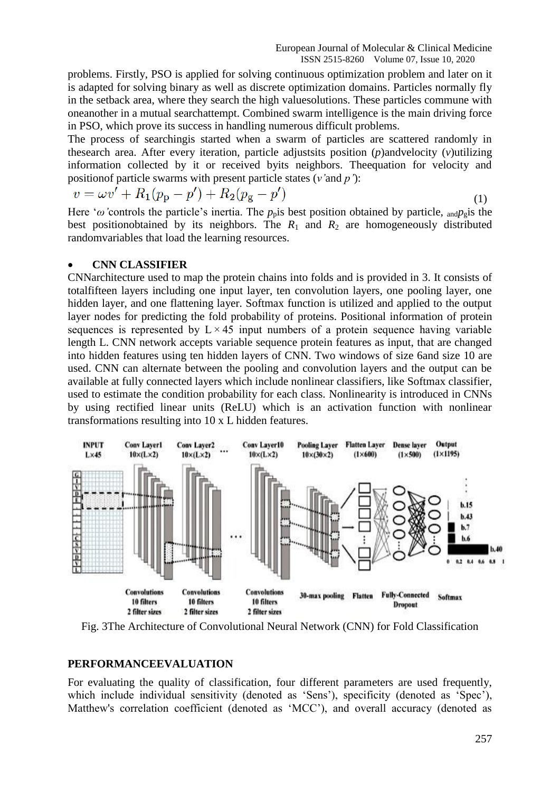problems. Firstly, PSO is applied for solving continuous optimization problem and later on it is adapted for solving binary as well as discrete optimization domains. Particles normally fly in the setback area, where they search the high valuesolutions. These particles commune with oneanother in a mutual searchattempt. Combined swarm intelligence is the main driving force in PSO, which prove its success in handling numerous difficult problems.

The process of searchingis started when a swarm of particles are scattered randomly in thesearch area. After every iteration, particle adjustsits position (*p*)andvelocity (*v*)utilizing information collected by it or received byits neighbors. Theequation for velocity and positionof particle swarms with present particle states (*v'*and *p'*):

$$
v = \omega v' + R_1 (p_p - p') + R_2 (p_g - p')
$$
\n(1)

Here ' $\omega$ 'controls the particle's inertia. The  $p_p$  is best position obtained by particle, <sub>and</sub> $p_q$  is the best positionobtained by its neighbors. The  $R_1$  and  $R_2$  are homogeneously distributed randomvariables that load the learning resources.

#### **CNN CLASSIFIER**

CNNarchitecture used to map the protein chains into folds and is provided in [3.](https://www.ncbi.nlm.nih.gov/pmc/articles/PMC5905591/figure/btx780-F1/) It consists of totalfifteen layers including one input layer, ten convolution layers, one pooling layer, one hidden layer, and one flattening layer. Softmax function is utilized and applied to the output layer nodes for predicting the fold probability of proteins. Positional information of protein sequences is represented by  $L \times 45$  input numbers of a protein sequence having variable length L. CNN network accepts variable sequence protein features as input, that are changed into hidden features using ten hidden layers of CNN. Two windows of size 6and size 10 are used. CNN can alternate between the pooling and convolution layers and the output can be available at fully connected layers which include nonlinear classifiers, like Softmax classifier, used to estimate the condition probability for each class. Nonlinearity is introduced in CNNs by using rectified linear units (ReLU) which is an activation function with nonlinear transformations resulting into 10 x L hidden features.



Fig. 3The Architecture of Convolutional Neural Network (CNN) for Fold Classification

#### **PERFORMANCEEVALUATION**

For evaluating the quality of classification, four different parameters are used frequently, which include individual sensitivity (denoted as 'Sens'), specificity (denoted as 'Spec'), Matthew's correlation coefficient (denoted as 'MCC'), and overall accuracy (denoted as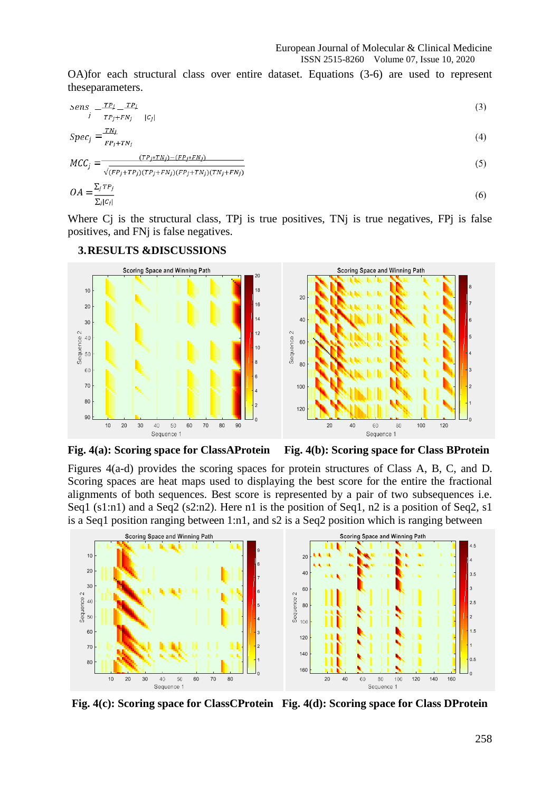OA)for each structural class over entire dataset. Equations (3-6) are used to represent theseparameters.

$$
Sens \frac{-TP_i}{r} - \frac{TP_i}{r} \tag{3}
$$

$$
Spec_i = \frac{TN_i}{N} \tag{4}
$$

$$
OA = \frac{\sum_{j} TP_j}{\sum_{i} \left( CP_j + TP_j \right) \left( TP_j + FN_j \right) \left( FP_j + TN_j \right) \left( TN_j + FN_j \right)}
$$
\n
$$
OA = \frac{\sum_{j} TP_j}{\sum_{i} |C_i|} \tag{6}
$$

Where C<sub>j</sub> is the structural class, TP<sub>j</sub> is true positives, TN<sub>j</sub> is true negatives, FP<sub>j</sub> is false positives, and FNj is false negatives.

#### Scoring Space and Winning Path **Scoring Space and Winning Path**  $\frac{1}{2}$  $10$  $18$  $\overline{\mathcal{L}}$  $16$  $\overline{20}$  $14$  $40$  $30$  $12$ Sequence 2 Sequence<sub>2</sub>  $40$ 6ſ  $10<sup>10</sup>$  $\cdot$  50  $8<sup>C</sup>$ 60  $70$ 100 80  $12C$ 90  $10$  $20$  $30$  $^{40}$ 50 60  $70$ 80  $90$  $\overline{20}$  $40$ 60 80  $100$  $120$ Sequence 1 Sequence 1

# **3.RESULTS &DISCUSSIONS**

**Fig. 4(a): Scoring space for ClassAProtein Fig. 4(b): Scoring space for Class BProtein**

Figures 4(a-d) provides the scoring spaces for protein structures of Class A, B, C, and D. Scoring spaces are heat maps used to displaying the best score for the entire the fractional alignments of both sequences. Best score is represented by a pair of two subsequences i.e. Seq1 (s1:n1) and a Seq2 (s2:n2). Here n1 is the position of Seq1, n2 is a position of Seq2, s1 is a Seq1 position ranging between 1:n1, and s2 is a Seq2 position which is ranging between



**Fig. 4(c): Scoring space for ClassCProtein Fig. 4(d): Scoring space for Class DProtein**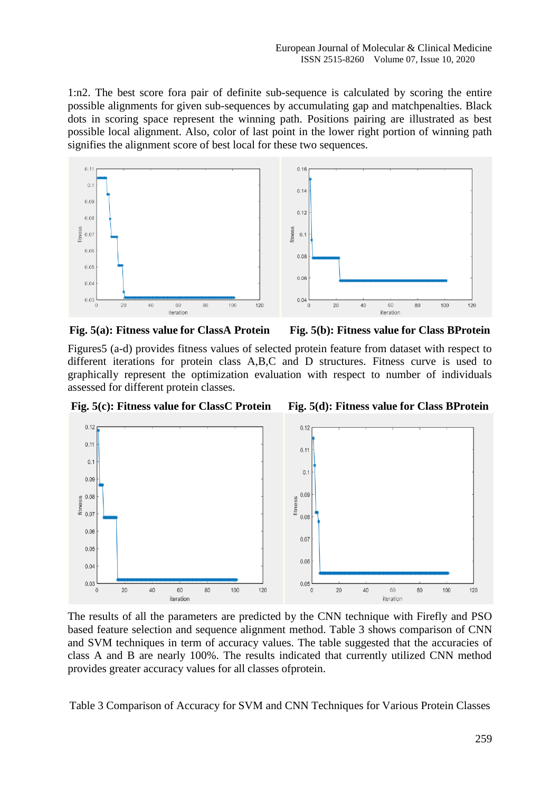1:n2. The best score fora pair of definite sub-sequence is calculated by scoring the entire possible alignments for given sub-sequences by accumulating gap and matchpenalties. Black dots in scoring space represent the winning path. Positions pairing are illustrated as best possible local alignment. Also, color of last point in the lower right portion of winning path signifies the alignment score of best local for these two sequences.



**Fig. 5(a): Fitness value for ClassA Protein Fig. 5(b): Fitness value for Class BProtein**



Figures5 (a-d) provides fitness values of selected protein feature from dataset with respect to different iterations for protein class A,B,C and D structures. Fitness curve is used to graphically represent the optimization evaluation with respect to number of individuals assessed for different protein classes.

**Fig. 5(c): Fitness value for ClassC Protein Fig. 5(d): Fitness value for Class BProtein**



The results of all the parameters are predicted by the CNN technique with Firefly and PSO based feature selection and sequence alignment method. Table 3 shows comparison of CNN and SVM techniques in term of accuracy values. The table suggested that the accuracies of class A and B are nearly 100%. The results indicated that currently utilized CNN method provides greater accuracy values for all classes ofprotein.

Table 3 Comparison of Accuracy for SVM and CNN Techniques for Various Protein Classes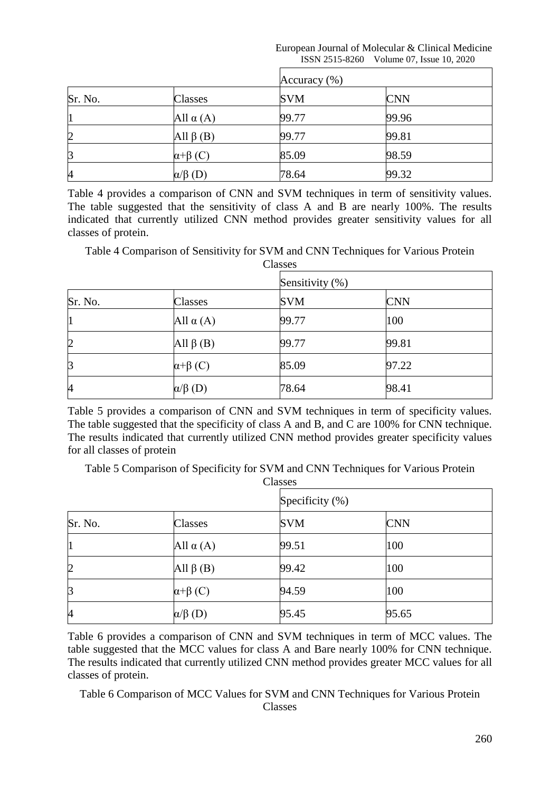| European Journal of Molecular & Clinical Medicine |  |
|---------------------------------------------------|--|
| ISSN 2515-8260 Volume 07, Issue 10, 2020          |  |

|                |                        | Accuracy $(\%)$ |            |  |
|----------------|------------------------|-----------------|------------|--|
| Sr. No.        | Classes                | <b>SVM</b>      | <b>CNN</b> |  |
|                | All $\alpha(A)$        | 99.77           | 99.96      |  |
| $\overline{2}$ | All $\beta$ (B)        | 99.77           | 99.81      |  |
| 3              | $\alpha$ + $\beta$ (C) | 85.09           | 98.59      |  |
| 4              | $\alpha/\beta$ (D)     | 78.64           | 99.32      |  |

Table 4 provides a comparison of CNN and SVM techniques in term of sensitivity values. The table suggested that the sensitivity of class A and B are nearly 100%. The results indicated that currently utilized CNN method provides greater sensitivity values for all classes of protein.

Table 4 Comparison of Sensitivity for SVM and CNN Techniques for Various Protein Classes

|                |                        | Sensitivity (%) |            |  |
|----------------|------------------------|-----------------|------------|--|
| Sr. No.        | Classes                | <b>SVM</b>      | <b>CNN</b> |  |
| 11             | All $\alpha(A)$        | 99.77           | 100        |  |
| $\overline{2}$ | All $\beta$ (B)        | 99.77           | 99.81      |  |
| $\beta$        | $\alpha$ + $\beta$ (C) | 85.09           | 97.22      |  |
| $\overline{A}$ | $\alpha/\beta$ (D)     | 78.64           | 98.41      |  |

Table 5 provides a comparison of CNN and SVM techniques in term of specificity values. The table suggested that the specificity of class A and B, and C are 100% for CNN technique. The results indicated that currently utilized CNN method provides greater specificity values for all classes of protein

Table 5 Comparison of Specificity for SVM and CNN Techniques for Various Protein Classes

|                |                        | Specificity (%) |            |  |
|----------------|------------------------|-----------------|------------|--|
| Sr. No.        | Classes                | <b>SVM</b>      | <b>CNN</b> |  |
| 1              | All $\alpha(A)$        | 99.51           | 100        |  |
| $\overline{2}$ | All $\beta$ (B)        | 99.42           | 100        |  |
| $\beta$        | $\alpha$ + $\beta$ (C) | 94.59           | 100        |  |
| 4              | $\alpha/\beta$ (D)     | 95.45           | 95.65      |  |

Table 6 provides a comparison of CNN and SVM techniques in term of MCC values. The table suggested that the MCC values for class A and Bare nearly 100% for CNN technique. The results indicated that currently utilized CNN method provides greater MCC values for all classes of protein.

Table 6 Comparison of MCC Values for SVM and CNN Techniques for Various Protein Classes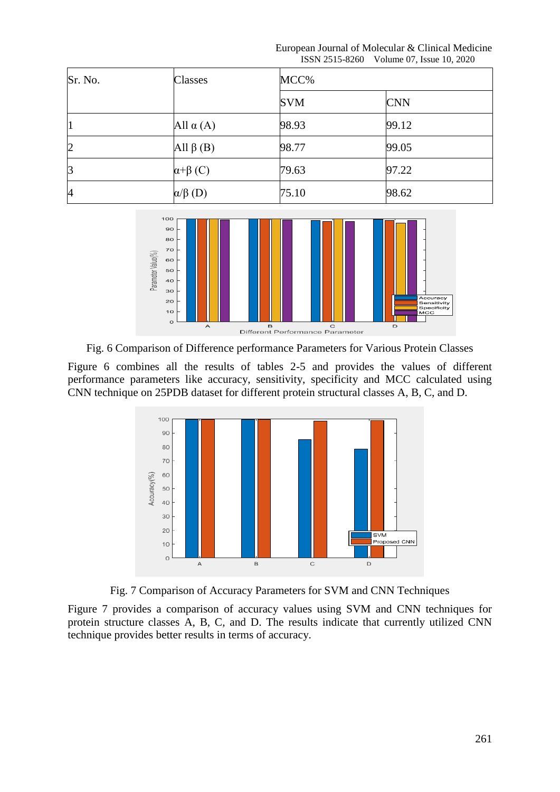European Journal of Molecular & Clinical Medicine ISSN 2515-8260 Volume 07, Issue 10, 2020

| Sr. No.        | Classes                | MCC%       |            |  |
|----------------|------------------------|------------|------------|--|
|                |                        | <b>SVM</b> | <b>CNN</b> |  |
| 11             | All $\alpha(A)$        | 98.93      | 99.12      |  |
| $\overline{2}$ | All $\beta$ (B)        | 98.77      | 99.05      |  |
| $\mathsf B$    | $\alpha$ + $\beta$ (C) | 79.63      | 97.22      |  |
| $\overline{A}$ | $\alpha/\beta$ (D)     | 75.10      | 98.62      |  |



Fig. 6 Comparison of Difference performance Parameters for Various Protein Classes

Figure 6 combines all the results of tables 2-5 and provides the values of different performance parameters like accuracy, sensitivity, specificity and MCC calculated using CNN technique on 25PDB dataset for different protein structural classes A, B, C, and D.



Fig. 7 Comparison of Accuracy Parameters for SVM and CNN Techniques

Figure 7 provides a comparison of accuracy values using SVM and CNN techniques for protein structure classes A, B, C, and D. The results indicate that currently utilized CNN technique provides better results in terms of accuracy.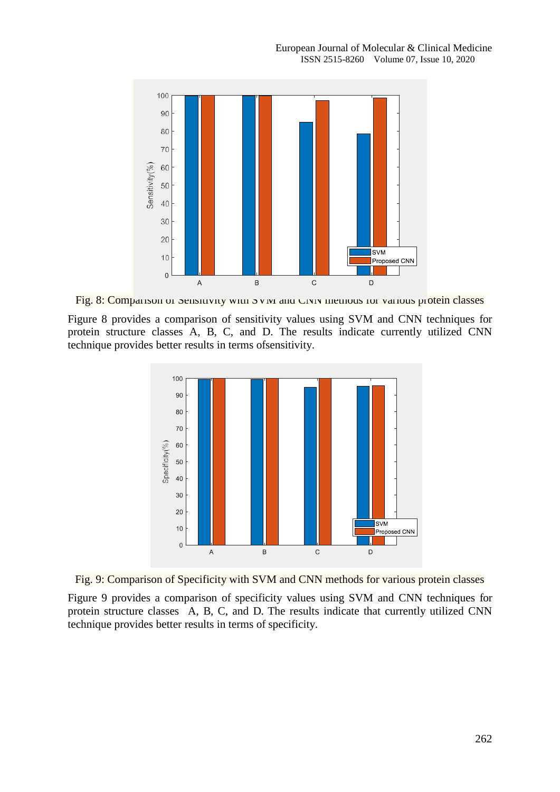

Fig. 8: Comparison of Sensitivity with SVM and CNN methods for various protein classes

Figure 8 provides a comparison of sensitivity values using SVM and CNN techniques for protein structure classes A, B, C, and D. The results indicate currently utilized CNN technique provides better results in terms ofsensitivity.



Fig. 9: Comparison of Specificity with SVM and CNN methods for various protein classes

Figure 9 provides a comparison of specificity values using SVM and CNN techniques for protein structure classes A, B, C, and D. The results indicate that currently utilized CNN technique provides better results in terms of specificity.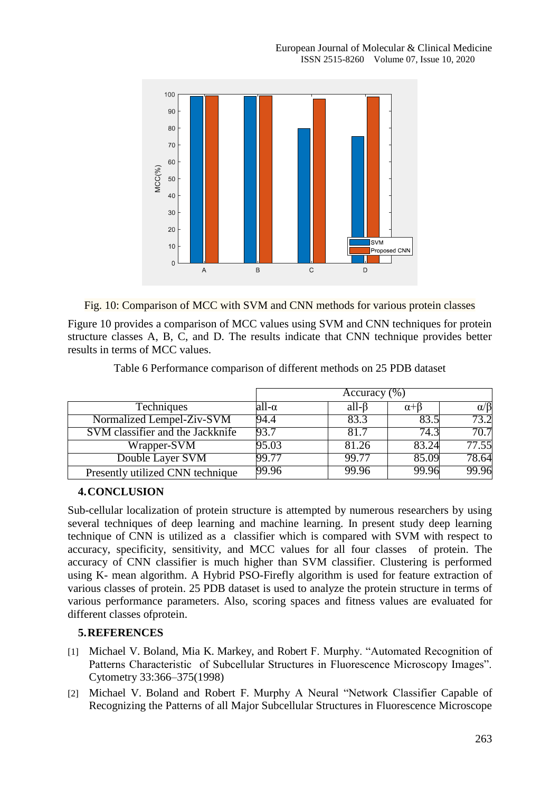

Fig. 10: Comparison of MCC with SVM and CNN methods for various protein classes

Figure 10 provides a comparison of MCC values using SVM and CNN techniques for protein structure classes A, B, C, and D. The results indicate that CNN technique provides better results in terms of MCC values.

|                                  | Accuracy $(\overline{\%})$ |                   |                  |                |  |
|----------------------------------|----------------------------|-------------------|------------------|----------------|--|
| Techniques                       | all-α                      | all- <sub>B</sub> | $\alpha + \beta$ | $\alpha/\beta$ |  |
| Normalized Lempel-Ziv-SVM        | 94.4                       | 83.3              | 83.5             | 73.2           |  |
| SVM classifier and the Jackknife | 93.7                       | 81.7              | 74.3             | 70.7           |  |
| Wrapper-SVM                      | 95.03                      | 81.26             | 83.24            | 77.55          |  |
| Double Layer SVM                 | 99.77                      | 99.77             | 85.09            | 78.64          |  |
| Presently utilized CNN technique | 99.96                      | 99.96             | 99.96            | 99.96          |  |

Table 6 Performance comparison of different methods on 25 PDB dataset

### **4.CONCLUSION**

Sub-cellular localization of protein structure is attempted by numerous researchers by using several techniques of deep learning and machine learning. In present study deep learning technique of CNN is utilized as a classifier which is compared with SVM with respect to accuracy, specificity, sensitivity, and MCC values for all four classes of protein. The accuracy of CNN classifier is much higher than SVM classifier. Clustering is performed using K- mean algorithm. A Hybrid PSO-Firefly algorithm is used for feature extraction of various classes of protein. 25 PDB dataset is used to analyze the protein structure in terms of various performance parameters. Also, scoring spaces and fitness values are evaluated for different classes ofprotein.

### **5.REFERENCES**

- [1] Michael V. Boland, Mia K. Markey, and Robert F. Murphy. "Automated Recognition of Patterns Characteristic of Subcellular Structures in Fluorescence Microscopy Images". Cytometry 33:366–375(1998)
- [2] Michael V. Boland and Robert F. Murphy A Neural "Network Classifier Capable of Recognizing the Patterns of all Major Subcellular Structures in Fluorescence Microscope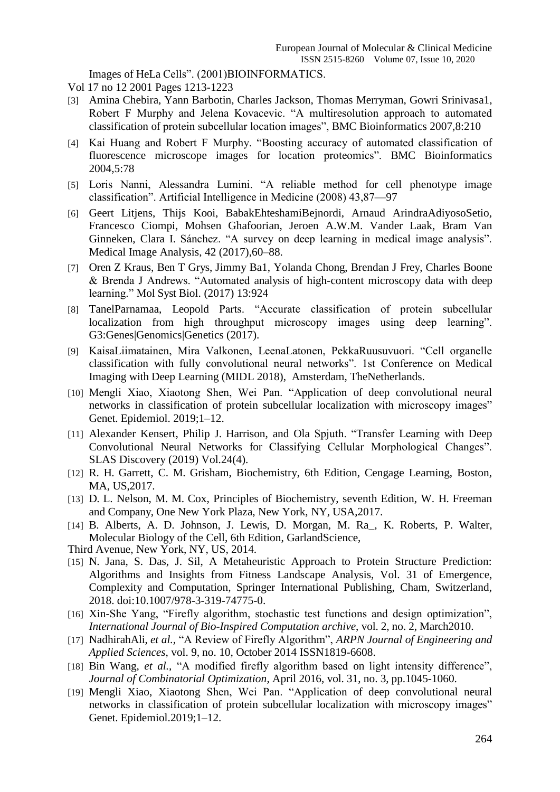Images of HeLa Cells". (2001)BIOINFORMATICS.

- Vol 17 no 12 2001 Pages 1213-1223
- [3] Amina Chebira, Yann Barbotin, Charles Jackson, Thomas Merryman, Gowri Srinivasa1, Robert F Murphy and Jelena Kovacevic. "A multiresolution approach to automated classification of protein subcellular location images", BMC Bioinformatics 2007,8:210
- [4] Kai Huang and Robert F Murphy. "Boosting accuracy of automated classification of fluorescence microscope images for location proteomics". BMC Bioinformatics 2004,5:78
- [5] Loris Nanni, Alessandra Lumini. "A reliable method for cell phenotype image classification". Artificial Intelligence in Medicine (2008) 43,87-97
- [6] Geert Litjens, Thijs Kooi, BabakEhteshamiBejnordi, Arnaud ArindraAdiyosoSetio, Francesco Ciompi, Mohsen Ghafoorian, Jeroen A.W.M. Vander Laak, Bram Van Ginneken, Clara I. Sánchez. "A survey on deep learning in medical image analysis". Medical Image Analysis, 42 (2017),60–88.
- [7] Oren Z Kraus, Ben T Grys, Jimmy Ba1, Yolanda Chong, Brendan J Frey, Charles Boone & Brenda J Andrews. "Automated analysis of high-content microscopy data with deep learning." Mol Syst Biol. (2017) 13:924
- [8] TanelParnamaa, Leopold Parts. "Accurate classification of protein subcellular localization from high throughput microscopy images using deep learning". G3:Genes|Genomics|Genetics (2017).
- [9] KaisaLiimatainen, Mira Valkonen, LeenaLatonen, PekkaRuusuvuori. "Cell organelle classification with fully convolutional neural networks". 1st Conference on Medical Imaging with Deep Learning (MIDL 2018), Amsterdam, TheNetherlands.
- [10] Mengli Xiao, Xiaotong Shen, Wei Pan. "Application of deep convolutional neural networks in classification of protein subcellular localization with microscopy images" Genet. Epidemiol. 2019;1–12.
- [11] Alexander Kensert, Philip J. Harrison, and Ola Spjuth. "Transfer Learning with Deep Convolutional Neural Networks for Classifying Cellular Morphological Changes". SLAS Discovery (2019) Vol.24(4).
- [12] R. H. Garrett, C. M. Grisham, Biochemistry, 6th Edition, Cengage Learning, Boston, MA, US,2017.
- [13] D. L. Nelson, M. M. Cox, Principles of Biochemistry, seventh Edition, W. H. Freeman and Company, One New York Plaza, New York, NY, USA,2017.
- [14] B. Alberts, A. D. Johnson, J. Lewis, D. Morgan, M. Ra\_, K. Roberts, P. Walter, Molecular Biology of the Cell, 6th Edition, GarlandScience,
- Third Avenue, New York, NY, US, 2014.
- [15] N. Jana, S. Das, J. Sil, A Metaheuristic Approach to Protein Structure Prediction: Algorithms and Insights from Fitness Landscape Analysis, Vol. 31 of Emergence, Complexity and Computation, Springer International Publishing, Cham, Switzerland, 2018. doi:10.1007/978-3-319-74775-0.
- [16] Xin-She Yang, "Firefly algorithm, stochastic test functions and design optimization", *International Journal of Bio-Inspired Computation archive*, vol. 2, no. 2, March2010.
- [17] NadhirahAli, *et al.*, "A Review of Firefly Algorithm", *ARPN Journal of Engineering and Applied Sciences*, vol. 9, no. 10, October 2014 ISSN1819-6608.
- [18] Bin Wang, *et al.*, "A modified firefly algorithm based on light intensity difference". *Journal of Combinatorial Optimization*, April 2016, vol. 31, no. 3, pp.1045-1060.
- [19] Mengli Xiao, Xiaotong Shen, Wei Pan. "Application of deep convolutional neural networks in classification of protein subcellular localization with microscopy images" Genet. Epidemiol.2019;1–12.